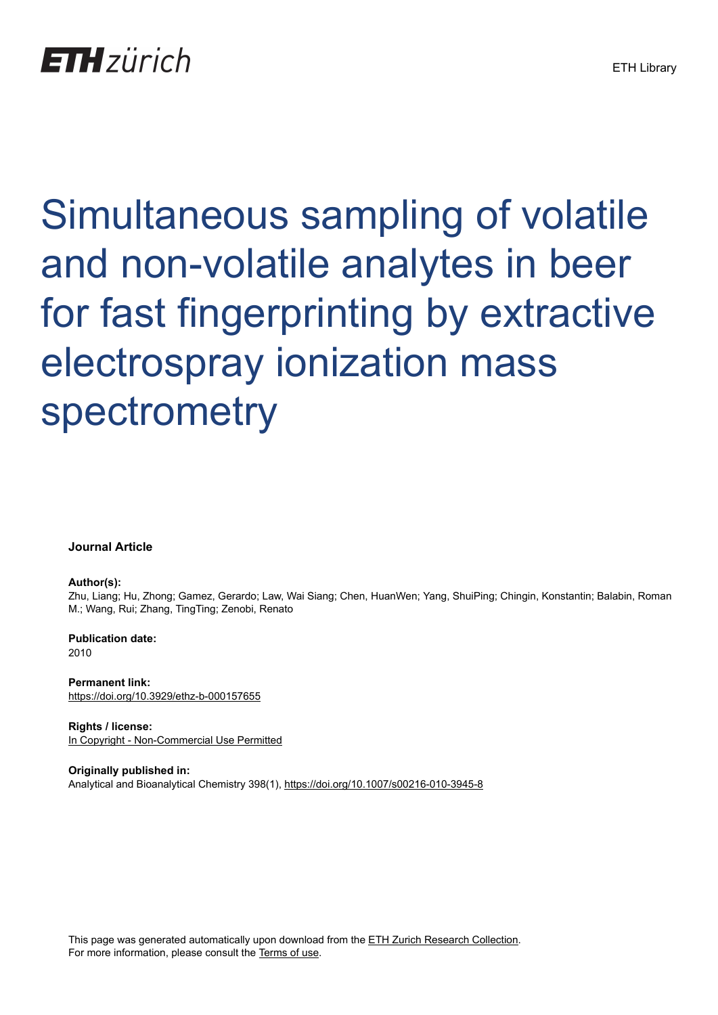## **ETH** zürich

# Simultaneous sampling of volatile and non-volatile analytes in beer for fast fingerprinting by extractive electrospray ionization mass spectrometry

#### **Journal Article**

#### **Author(s):**

Zhu, Liang; Hu, Zhong; Gamez, Gerardo; Law, Wai Siang; Chen, HuanWen; Yang, ShuiPing; Chingin, Konstantin; Balabin, Roman M.; Wang, Rui; Zhang, TingTing; Zenobi, Renato

**Publication date:** 2010

**Permanent link:** <https://doi.org/10.3929/ethz-b-000157655>

**Rights / license:** [In Copyright - Non-Commercial Use Permitted](http://rightsstatements.org/page/InC-NC/1.0/)

**Originally published in:** Analytical and Bioanalytical Chemistry 398(1), <https://doi.org/10.1007/s00216-010-3945-8>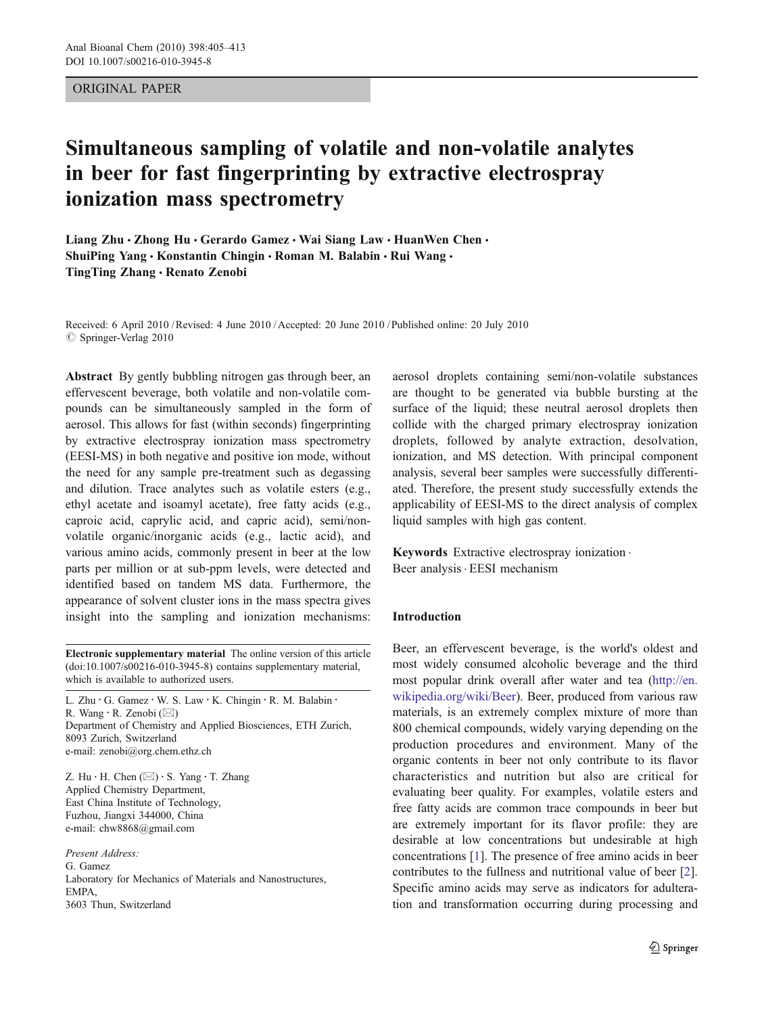#### ORIGINAL PAPER

### Simultaneous sampling of volatile and non-volatile analytes in beer for fast fingerprinting by extractive electrospray ionization mass spectrometry

Liang Zhu  $\cdot$  Zhong Hu  $\cdot$  Gerardo Gamez  $\cdot$  Wai Siang Law  $\cdot$  HuanWen Chen  $\cdot$ ShuiPing Yang • Konstantin Chingin • Roman M. Balabin • Rui Wang • TingTing Zhang & Renato Zenobi

Received: 6 April 2010 /Revised: 4 June 2010 /Accepted: 20 June 2010 / Published online: 20 July 2010  $\oslash$  Springer-Verlag 2010

Abstract By gently bubbling nitrogen gas through beer, an effervescent beverage, both volatile and non-volatile compounds can be simultaneously sampled in the form of aerosol. This allows for fast (within seconds) fingerprinting by extractive electrospray ionization mass spectrometry (EESI-MS) in both negative and positive ion mode, without the need for any sample pre-treatment such as degassing and dilution. Trace analytes such as volatile esters (e.g., ethyl acetate and isoamyl acetate), free fatty acids (e.g., caproic acid, caprylic acid, and capric acid), semi/nonvolatile organic/inorganic acids (e.g., lactic acid), and various amino acids, commonly present in beer at the low parts per million or at sub-ppm levels, were detected and identified based on tandem MS data. Furthermore, the appearance of solvent cluster ions in the mass spectra gives insight into the sampling and ionization mechanisms:

Electronic supplementary material The online version of this article (doi:[10.1007/s00216-010-3945-8](http://dx.doi.org/10.1007/s00216-010-3945-8)) contains supplementary material, which is available to authorized users.

L. Zhu : G. Gamez : W. S. Law : K. Chingin : R. M. Balabin : R. Wang ⋅ R. Zenobi (⊠) Department of Chemistry and Applied Biosciences, ETH Zurich, 8093 Zurich, Switzerland e-mail: zenobi@org.chem.ethz.ch

Z. Hu  $\cdot$  H. Chen ( $\boxtimes$ )  $\cdot$  S. Yang  $\cdot$  T. Zhang Applied Chemistry Department, East China Institute of Technology, Fuzhou, Jiangxi 344000, China e-mail: chw8868@gmail.com

Present Address: G. Gamez Laboratory for Mechanics of Materials and Nanostructures, EMPA, 3603 Thun, Switzerland

aerosol droplets containing semi/non-volatile substances are thought to be generated via bubble bursting at the surface of the liquid; these neutral aerosol droplets then collide with the charged primary electrospray ionization droplets, followed by analyte extraction, desolvation, ionization, and MS detection. With principal component analysis, several beer samples were successfully differentiated. Therefore, the present study successfully extends the applicability of EESI-MS to the direct analysis of complex liquid samples with high gas content.

Keywords Extractive electrospray ionization . Beer analysis. EESI mechanism

#### Introduction

Beer, an effervescent beverage, is the world's oldest and most widely consumed alcoholic beverage and the third most popular drink overall after water and tea ([http://en.](http://en.wikipedia.org/wiki/Beer) [wikipedia.org/wiki/Beer](http://en.wikipedia.org/wiki/Beer)). Beer, produced from various raw materials, is an extremely complex mixture of more than 800 chemical compounds, widely varying depending on the production procedures and environment. Many of the organic contents in beer not only contribute to its flavor characteristics and nutrition but also are critical for evaluating beer quality. For examples, volatile esters and free fatty acids are common trace compounds in beer but are extremely important for its flavor profile: they are desirable at low concentrations but undesirable at high concentrations [[1\]](#page-8-0). The presence of free amino acids in beer contributes to the fullness and nutritional value of beer [[2\]](#page-8-0). Specific amino acids may serve as indicators for adulteration and transformation occurring during processing and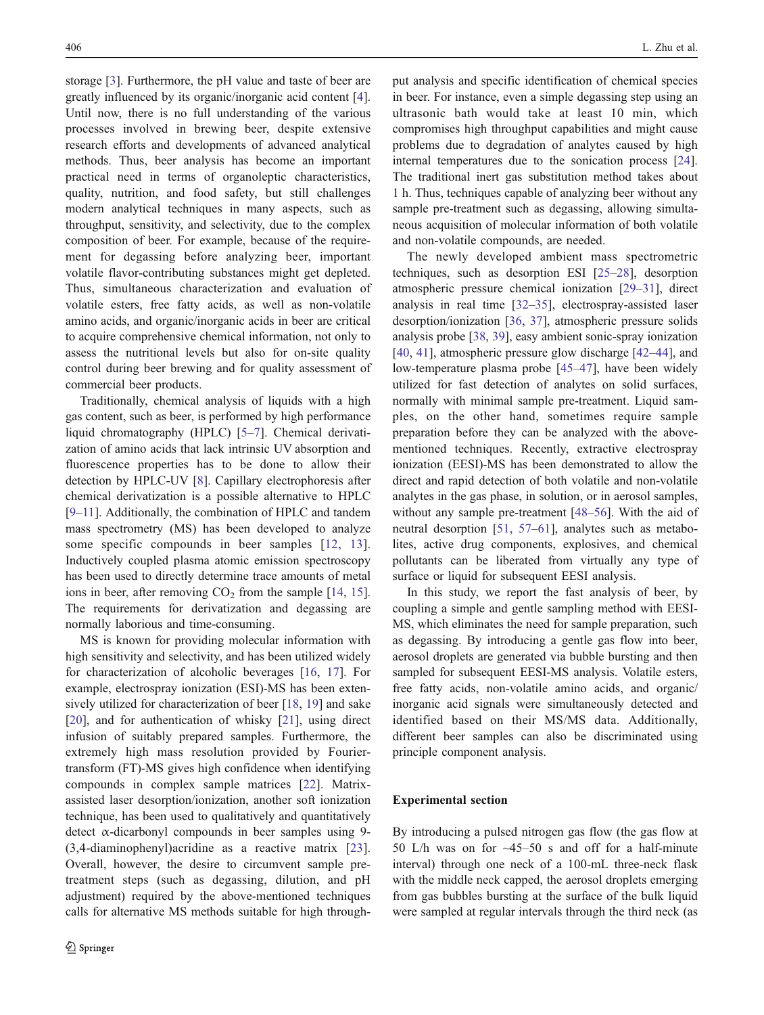storage [[3\]](#page-8-0). Furthermore, the pH value and taste of beer are greatly influenced by its organic/inorganic acid content [\[4](#page-9-0)]. Until now, there is no full understanding of the various processes involved in brewing beer, despite extensive research efforts and developments of advanced analytical methods. Thus, beer analysis has become an important practical need in terms of organoleptic characteristics, quality, nutrition, and food safety, but still challenges modern analytical techniques in many aspects, such as throughput, sensitivity, and selectivity, due to the complex composition of beer. For example, because of the requirement for degassing before analyzing beer, important volatile flavor-contributing substances might get depleted. Thus, simultaneous characterization and evaluation of volatile esters, free fatty acids, as well as non-volatile amino acids, and organic/inorganic acids in beer are critical to acquire comprehensive chemical information, not only to assess the nutritional levels but also for on-site quality control during beer brewing and for quality assessment of commercial beer products.

Traditionally, chemical analysis of liquids with a high gas content, such as beer, is performed by high performance liquid chromatography (HPLC) [[5](#page-9-0)–[7\]](#page-9-0). Chemical derivatization of amino acids that lack intrinsic UV absorption and fluorescence properties has to be done to allow their detection by HPLC-UV [[8\]](#page-9-0). Capillary electrophoresis after chemical derivatization is a possible alternative to HPLC [\[9](#page-9-0)–[11\]](#page-9-0). Additionally, the combination of HPLC and tandem mass spectrometry (MS) has been developed to analyze some specific compounds in beer samples [\[12,](#page-9-0) [13](#page-9-0)]. Inductively coupled plasma atomic emission spectroscopy has been used to directly determine trace amounts of metal ions in beer, after removing  $CO<sub>2</sub>$  from the sample [[14,](#page-9-0) [15](#page-9-0)]. The requirements for derivatization and degassing are normally laborious and time-consuming.

MS is known for providing molecular information with high sensitivity and selectivity, and has been utilized widely for characterization of alcoholic beverages [\[16](#page-9-0), [17\]](#page-9-0). For example, electrospray ionization (ESI)-MS has been extensively utilized for characterization of beer [\[18](#page-9-0), [19](#page-9-0)] and sake [\[20](#page-9-0)], and for authentication of whisky [\[21](#page-9-0)], using direct infusion of suitably prepared samples. Furthermore, the extremely high mass resolution provided by Fouriertransform (FT)-MS gives high confidence when identifying compounds in complex sample matrices [[22\]](#page-9-0). Matrixassisted laser desorption/ionization, another soft ionization technique, has been used to qualitatively and quantitatively detect  $\alpha$ -dicarbonyl compounds in beer samples using 9-(3,4-diaminophenyl)acridine as a reactive matrix [[23](#page-9-0)]. Overall, however, the desire to circumvent sample pretreatment steps (such as degassing, dilution, and pH adjustment) required by the above-mentioned techniques calls for alternative MS methods suitable for high throughput analysis and specific identification of chemical species in beer. For instance, even a simple degassing step using an ultrasonic bath would take at least 10 min, which compromises high throughput capabilities and might cause problems due to degradation of analytes caused by high internal temperatures due to the sonication process [[24\]](#page-9-0). The traditional inert gas substitution method takes about 1 h. Thus, techniques capable of analyzing beer without any sample pre-treatment such as degassing, allowing simultaneous acquisition of molecular information of both volatile and non-volatile compounds, are needed.

The newly developed ambient mass spectrometric techniques, such as desorption ESI [[25](#page-9-0)–[28\]](#page-9-0), desorption atmospheric pressure chemical ionization [\[29](#page-9-0)–[31](#page-9-0)], direct analysis in real time [\[32](#page-9-0)–[35](#page-9-0)], electrospray-assisted laser desorption/ionization [\[36](#page-9-0), [37](#page-9-0)], atmospheric pressure solids analysis probe [[38,](#page-9-0) [39\]](#page-9-0), easy ambient sonic-spray ionization [\[40](#page-9-0), [41\]](#page-9-0), atmospheric pressure glow discharge [\[42](#page-9-0)–[44](#page-9-0)], and low-temperature plasma probe [\[45](#page-9-0)–[47](#page-9-0)], have been widely utilized for fast detection of analytes on solid surfaces, normally with minimal sample pre-treatment. Liquid samples, on the other hand, sometimes require sample preparation before they can be analyzed with the abovementioned techniques. Recently, extractive electrospray ionization (EESI)-MS has been demonstrated to allow the direct and rapid detection of both volatile and non-volatile analytes in the gas phase, in solution, or in aerosol samples, without any sample pre-treatment [\[48](#page-9-0)–[56](#page-9-0)]. With the aid of neutral desorption [\[51](#page-9-0), [57](#page-9-0)–[61](#page-9-0)], analytes such as metabolites, active drug components, explosives, and chemical pollutants can be liberated from virtually any type of surface or liquid for subsequent EESI analysis.

In this study, we report the fast analysis of beer, by coupling a simple and gentle sampling method with EESI-MS, which eliminates the need for sample preparation, such as degassing. By introducing a gentle gas flow into beer, aerosol droplets are generated via bubble bursting and then sampled for subsequent EESI-MS analysis. Volatile esters, free fatty acids, non-volatile amino acids, and organic/ inorganic acid signals were simultaneously detected and identified based on their MS/MS data. Additionally, different beer samples can also be discriminated using principle component analysis.

#### Experimental section

By introducing a pulsed nitrogen gas flow (the gas flow at 50 L/h was on for ~45–50 s and off for a half-minute interval) through one neck of a 100-mL three-neck flask with the middle neck capped, the aerosol droplets emerging from gas bubbles bursting at the surface of the bulk liquid were sampled at regular intervals through the third neck (as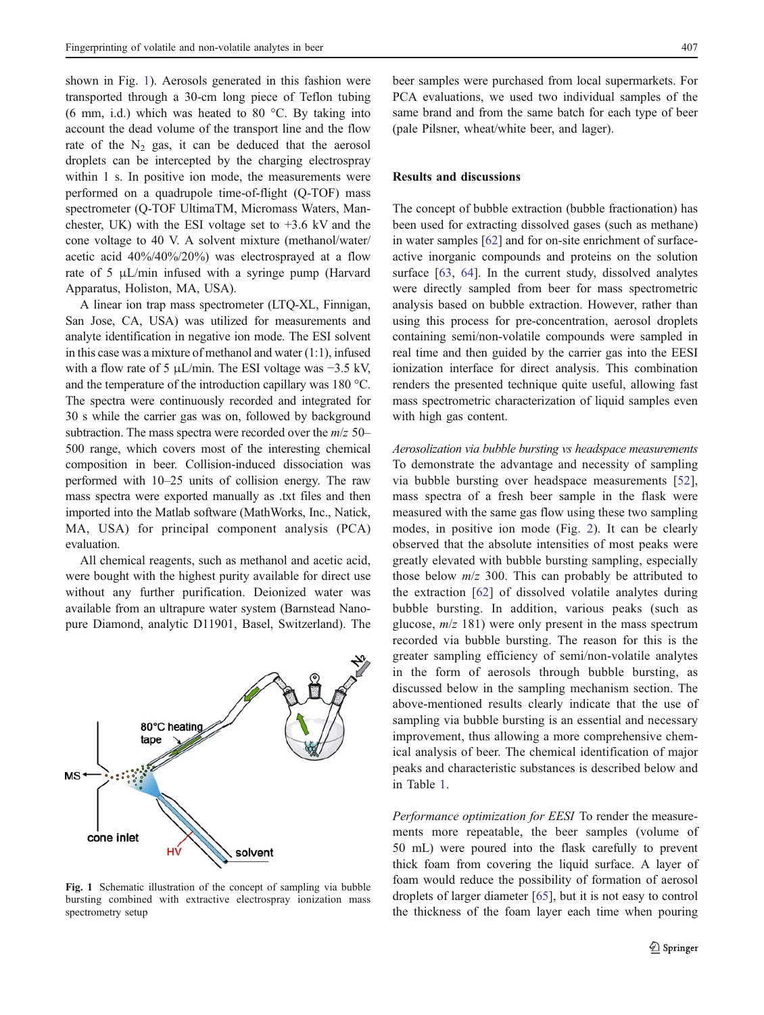shown in Fig. 1). Aerosols generated in this fashion were transported through a 30-cm long piece of Teflon tubing (6 mm, i.d.) which was heated to 80  $^{\circ}$ C. By taking into account the dead volume of the transport line and the flow rate of the  $N_2$  gas, it can be deduced that the aerosol droplets can be intercepted by the charging electrospray within 1 s. In positive ion mode, the measurements were performed on a quadrupole time-of-flight (Q-TOF) mass spectrometer (Q-TOF UltimaTM, Micromass Waters, Manchester, UK) with the ESI voltage set to  $+3.6$  kV and the cone voltage to 40 V. A solvent mixture (methanol/water/ acetic acid 40%/40%/20%) was electrosprayed at a flow rate of 5 μL/min infused with a syringe pump (Harvard Apparatus, Holiston, MA, USA).

A linear ion trap mass spectrometer (LTQ-XL, Finnigan, San Jose, CA, USA) was utilized for measurements and analyte identification in negative ion mode. The ESI solvent in this case was a mixture of methanol and water (1:1), infused with a flow rate of 5  $\mu$ L/min. The ESI voltage was −3.5 kV, and the temperature of the introduction capillary was 180 °C. The spectra were continuously recorded and integrated for 30 s while the carrier gas was on, followed by background subtraction. The mass spectra were recorded over the  $m/z$  50– 500 range, which covers most of the interesting chemical composition in beer. Collision-induced dissociation was performed with 10–25 units of collision energy. The raw mass spectra were exported manually as .txt files and then imported into the Matlab software (MathWorks, Inc., Natick, MA, USA) for principal component analysis (PCA) evaluation.

All chemical reagents, such as methanol and acetic acid, were bought with the highest purity available for direct use without any further purification. Deionized water was available from an ultrapure water system (Barnstead Nanopure Diamond, analytic D11901, Basel, Switzerland). The



Fig. 1 Schematic illustration of the concept of sampling via bubble bursting combined with extractive electrospray ionization mass spectrometry setup

beer samples were purchased from local supermarkets. For PCA evaluations, we used two individual samples of the same brand and from the same batch for each type of beer (pale Pilsner, wheat/white beer, and lager).

#### Results and discussions

The concept of bubble extraction (bubble fractionation) has been used for extracting dissolved gases (such as methane) in water samples [[62\]](#page-9-0) and for on-site enrichment of surfaceactive inorganic compounds and proteins on the solution surface [\[63](#page-9-0), [64](#page-9-0)]. In the current study, dissolved analytes were directly sampled from beer for mass spectrometric analysis based on bubble extraction. However, rather than using this process for pre-concentration, aerosol droplets containing semi/non-volatile compounds were sampled in real time and then guided by the carrier gas into the EESI ionization interface for direct analysis. This combination renders the presented technique quite useful, allowing fast mass spectrometric characterization of liquid samples even with high gas content.

Aerosolization via bubble bursting vs headspace measurements To demonstrate the advantage and necessity of sampling via bubble bursting over headspace measurements [\[52](#page-9-0)], mass spectra of a fresh beer sample in the flask were measured with the same gas flow using these two sampling modes, in positive ion mode (Fig. [2\)](#page-4-0). It can be clearly observed that the absolute intensities of most peaks were greatly elevated with bubble bursting sampling, especially those below  $m/z$  300. This can probably be attributed to the extraction [\[62](#page-9-0)] of dissolved volatile analytes during bubble bursting. In addition, various peaks (such as glucose,  $m/z$  181) were only present in the mass spectrum recorded via bubble bursting. The reason for this is the greater sampling efficiency of semi/non-volatile analytes in the form of aerosols through bubble bursting, as discussed below in the sampling mechanism section. The above-mentioned results clearly indicate that the use of sampling via bubble bursting is an essential and necessary improvement, thus allowing a more comprehensive chemical analysis of beer. The chemical identification of major peaks and characteristic substances is described below and in Table [1.](#page-4-0)

Performance optimization for EESI To render the measurements more repeatable, the beer samples (volume of 50 mL) were poured into the flask carefully to prevent thick foam from covering the liquid surface. A layer of foam would reduce the possibility of formation of aerosol droplets of larger diameter [[65\]](#page-9-0), but it is not easy to control the thickness of the foam layer each time when pouring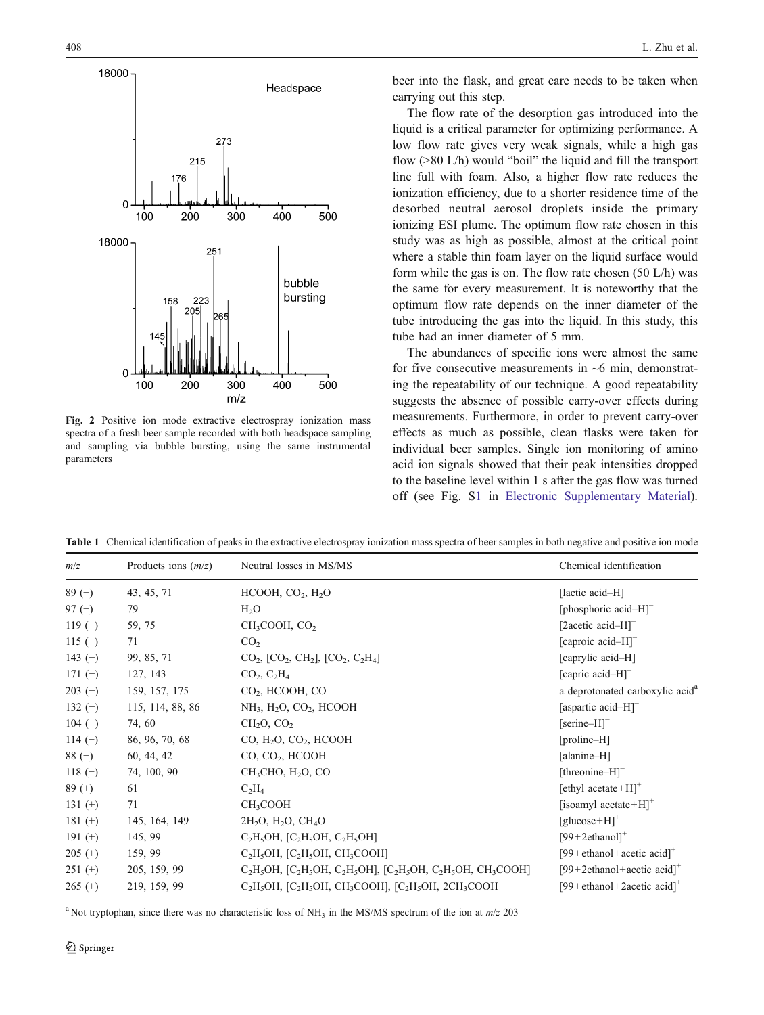<span id="page-4-0"></span>

Fig. 2 Positive ion mode extractive electrospray ionization mass spectra of a fresh beer sample recorded with both headspace sampling and sampling via bubble bursting, using the same instrumental parameters

beer into the flask, and great care needs to be taken when carrying out this step.

The flow rate of the desorption gas introduced into the liquid is a critical parameter for optimizing performance. A low flow rate gives very weak signals, while a high gas flow (>80 L/h) would "boil" the liquid and fill the transport line full with foam. Also, a higher flow rate reduces the ionization efficiency, due to a shorter residence time of the desorbed neutral aerosol droplets inside the primary ionizing ESI plume. The optimum flow rate chosen in this study was as high as possible, almost at the critical point where a stable thin foam layer on the liquid surface would form while the gas is on. The flow rate chosen (50 L/h) was the same for every measurement. It is noteworthy that the optimum flow rate depends on the inner diameter of the tube introducing the gas into the liquid. In this study, this tube had an inner diameter of 5 mm.

The abundances of specific ions were almost the same for five consecutive measurements in  $~6$  min, demonstrating the repeatability of our technique. A good repeatability suggests the absence of possible carry-over effects during measurements. Furthermore, in order to prevent carry-over effects as much as possible, clean flasks were taken for individual beer samples. Single ion monitoring of amino acid ion signals showed that their peak intensities dropped to the baseline level within 1 s after the gas flow was turned off (see Fig. S1 in Electronic Supplementary Material).

Table 1 Chemical identification of peaks in the extractive electrospray ionization mass spectra of beer samples in both negative and positive ion mode

| m/z       | Products ions $(m/z)$ | Neutral losses in MS/MS                                                                                                                                                       | Chemical identification<br>[lactic acid- $H$ ] <sup><math>-</math></sup> |  |  |
|-----------|-----------------------|-------------------------------------------------------------------------------------------------------------------------------------------------------------------------------|--------------------------------------------------------------------------|--|--|
| $89(-)$   | 43, 45, 71            | $HCOOH$ , $CO2$ , $H2O$                                                                                                                                                       |                                                                          |  |  |
| $97(-)$   | 79                    | H <sub>2</sub> O                                                                                                                                                              | [phosphoric acid-H] <sup>-</sup>                                         |  |  |
| $119(-)$  | 59, 75                | CH <sub>3</sub> COOH, CO <sub>2</sub>                                                                                                                                         | [2acetic acid-H] <sup>-</sup>                                            |  |  |
| 115 $(-)$ | 71                    | CO <sub>2</sub>                                                                                                                                                               | [caproic acid-H] <sup>-</sup>                                            |  |  |
| 143 $(-)$ | 99, 85, 71            | $CO_2$ , $[CO_2, CH_2]$ , $[CO_2, C_2H_4]$                                                                                                                                    | [caprylic acid-H]                                                        |  |  |
| $171(-)$  | 127, 143              | $CO2, C2H4$                                                                                                                                                                   | [capric acid-H] <sup>-</sup>                                             |  |  |
| $203(-)$  | 159, 157, 175         | CO <sub>2</sub> , HCOOH, CO                                                                                                                                                   | a deprotonated carboxylic acid <sup>a</sup>                              |  |  |
| 132 $(-)$ | 115, 114, 88, 86      | $NH3$ , $H2O$ , $CO2$ , $HCOOH$                                                                                                                                               | [aspartic acid-H] <sup>-</sup>                                           |  |  |
| $104 (-)$ | 74, 60                | CH <sub>2</sub> O, CO <sub>2</sub>                                                                                                                                            | [serine-H] <sup>-</sup>                                                  |  |  |
| 114 $(-)$ | 86, 96, 70, 68        | $CO, H2O, CO2, HCOOH$                                                                                                                                                         | $[proline-H]$                                                            |  |  |
| $88(-)$   | 60, 44, 42            | CO, CO <sub>2</sub> , HCOOH                                                                                                                                                   | [alanine-H]                                                              |  |  |
| 118 $(-)$ | 74, 100, 90           | CH <sub>3</sub> CHO, H <sub>2</sub> O, CO                                                                                                                                     | [threonine-H] <sup>-</sup>                                               |  |  |
| $89 (+)$  | 61                    | $C_2H_4$                                                                                                                                                                      | [ethyl acetate+ $H$ ] <sup>+</sup>                                       |  |  |
| 131 $(+)$ | 71                    | CH <sub>3</sub> COOH                                                                                                                                                          | [isoamyl acetate + $H$ ] <sup>+</sup>                                    |  |  |
| $181 (+)$ | 145, 164, 149         | $2H_2O$ , $H_2O$ , $CH_4O$                                                                                                                                                    | $[glu\cos e + H]$ <sup>+</sup>                                           |  |  |
| $191 (+)$ | 145, 99               | $C_2H_5OH$ , $[C_2H_5OH, C_2H_5OH]$                                                                                                                                           | $[99+2ethanol]$ <sup>+</sup>                                             |  |  |
| $205 (+)$ | 159, 99               | $C_2H_5OH$ , $[C_2H_5OH$ , $CH_3COOH]$                                                                                                                                        | $[99 + ethanol + acetic acid]$ <sup>+</sup>                              |  |  |
| $251 (+)$ | 205, 159, 99          | $C_2H_5OH$ , [C <sub>2</sub> H <sub>5</sub> OH, C <sub>2</sub> H <sub>5</sub> OH], [C <sub>2</sub> H <sub>5</sub> OH, C <sub>2</sub> H <sub>5</sub> OH, CH <sub>3</sub> COOH] | $[99+2$ ethanol+acetic acid] <sup>+</sup>                                |  |  |
| $265 (+)$ | 219, 159, 99          | $C_2H_5OH$ , $[C_2H_5OH$ , $CH_3COOH$ , $[C_2H_5OH$ , $2CH_3COOH$                                                                                                             | $[99 + ethanol + 2acetic acid]$ <sup>+</sup>                             |  |  |

<sup>a</sup> Not tryptophan, since there was no characteristic loss of NH<sub>3</sub> in the MS/MS spectrum of the ion at  $m/z$  203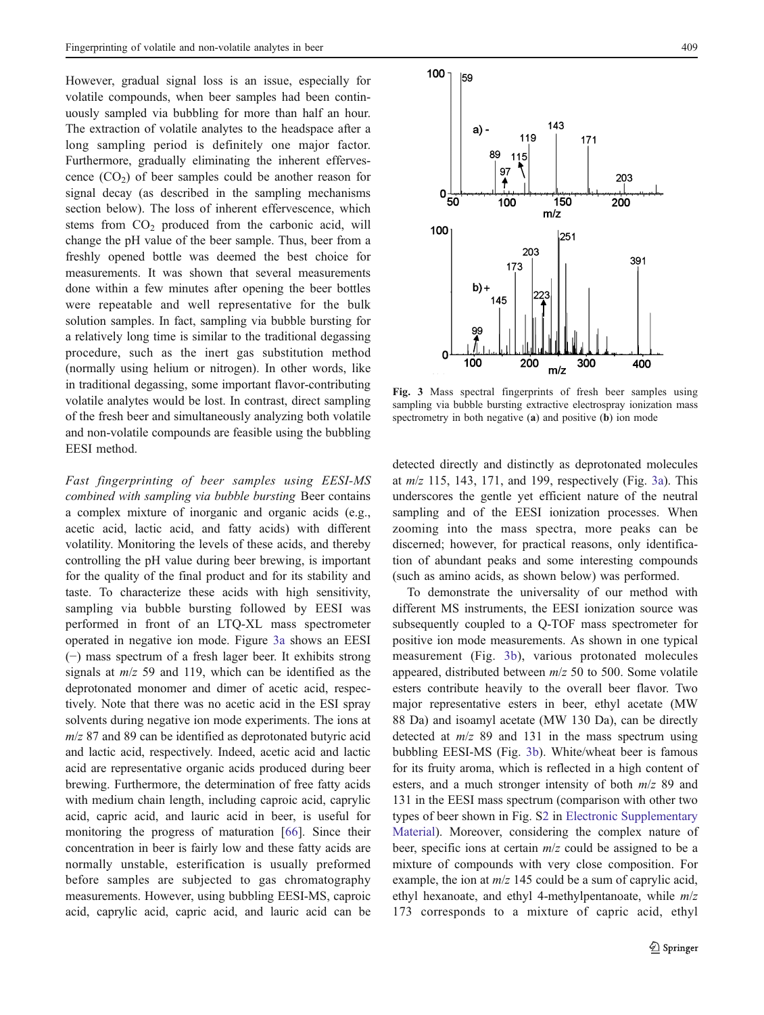<span id="page-5-0"></span>However, gradual signal loss is an issue, especially for volatile compounds, when beer samples had been continuously sampled via bubbling for more than half an hour. The extraction of volatile analytes to the headspace after a long sampling period is definitely one major factor. Furthermore, gradually eliminating the inherent effervescence  $(CO<sub>2</sub>)$  of beer samples could be another reason for signal decay (as described in the sampling mechanisms section below). The loss of inherent effervescence, which stems from  $CO<sub>2</sub>$  produced from the carbonic acid, will change the pH value of the beer sample. Thus, beer from a freshly opened bottle was deemed the best choice for measurements. It was shown that several measurements done within a few minutes after opening the beer bottles were repeatable and well representative for the bulk solution samples. In fact, sampling via bubble bursting for a relatively long time is similar to the traditional degassing procedure, such as the inert gas substitution method (normally using helium or nitrogen). In other words, like in traditional degassing, some important flavor-contributing volatile analytes would be lost. In contrast, direct sampling of the fresh beer and simultaneously analyzing both volatile and non-volatile compounds are feasible using the bubbling EESI method.

Fast fingerprinting of beer samples using EESI-MS combined with sampling via bubble bursting Beer contains a complex mixture of inorganic and organic acids (e.g., acetic acid, lactic acid, and fatty acids) with different volatility. Monitoring the levels of these acids, and thereby controlling the pH value during beer brewing, is important for the quality of the final product and for its stability and taste. To characterize these acids with high sensitivity, sampling via bubble bursting followed by EESI was performed in front of an LTQ-XL mass spectrometer operated in negative ion mode. Figure 3a shows an EESI (−) mass spectrum of a fresh lager beer. It exhibits strong signals at m/z 59 and 119, which can be identified as the deprotonated monomer and dimer of acetic acid, respectively. Note that there was no acetic acid in the ESI spray solvents during negative ion mode experiments. The ions at  $m/z$  87 and 89 can be identified as deprotonated butyric acid and lactic acid, respectively. Indeed, acetic acid and lactic acid are representative organic acids produced during beer brewing. Furthermore, the determination of free fatty acids with medium chain length, including caproic acid, caprylic acid, capric acid, and lauric acid in beer, is useful for monitoring the progress of maturation [\[66](#page-9-0)]. Since their concentration in beer is fairly low and these fatty acids are normally unstable, esterification is usually preformed before samples are subjected to gas chromatography measurements. However, using bubbling EESI-MS, caproic acid, caprylic acid, capric acid, and lauric acid can be



Fig. 3 Mass spectral fingerprints of fresh beer samples using sampling via bubble bursting extractive electrospray ionization mass spectrometry in both negative (a) and positive (b) ion mode

detected directly and distinctly as deprotonated molecules at  $m/z$  115, 143, 171, and 199, respectively (Fig. 3a). This underscores the gentle yet efficient nature of the neutral sampling and of the EESI ionization processes. When zooming into the mass spectra, more peaks can be discerned; however, for practical reasons, only identification of abundant peaks and some interesting compounds (such as amino acids, as shown below) was performed.

To demonstrate the universality of our method with different MS instruments, the EESI ionization source was subsequently coupled to a Q-TOF mass spectrometer for positive ion mode measurements. As shown in one typical measurement (Fig. 3b), various protonated molecules appeared, distributed between  $m/z$  50 to 500. Some volatile esters contribute heavily to the overall beer flavor. Two major representative esters in beer, ethyl acetate (MW 88 Da) and isoamyl acetate (MW 130 Da), can be directly detected at  $m/z$  89 and 131 in the mass spectrum using bubbling EESI-MS (Fig. 3b). White/wheat beer is famous for its fruity aroma, which is reflected in a high content of esters, and a much stronger intensity of both  $m/z$  89 and 131 in the EESI mass spectrum (comparison with other two types of beer shown in Fig. S2 in Electronic Supplementary Material). Moreover, considering the complex nature of beer, specific ions at certain  $m/z$  could be assigned to be a mixture of compounds with very close composition. For example, the ion at  $m/z$  145 could be a sum of caprylic acid, ethyl hexanoate, and ethyl 4-methylpentanoate, while m/z 173 corresponds to a mixture of capric acid, ethyl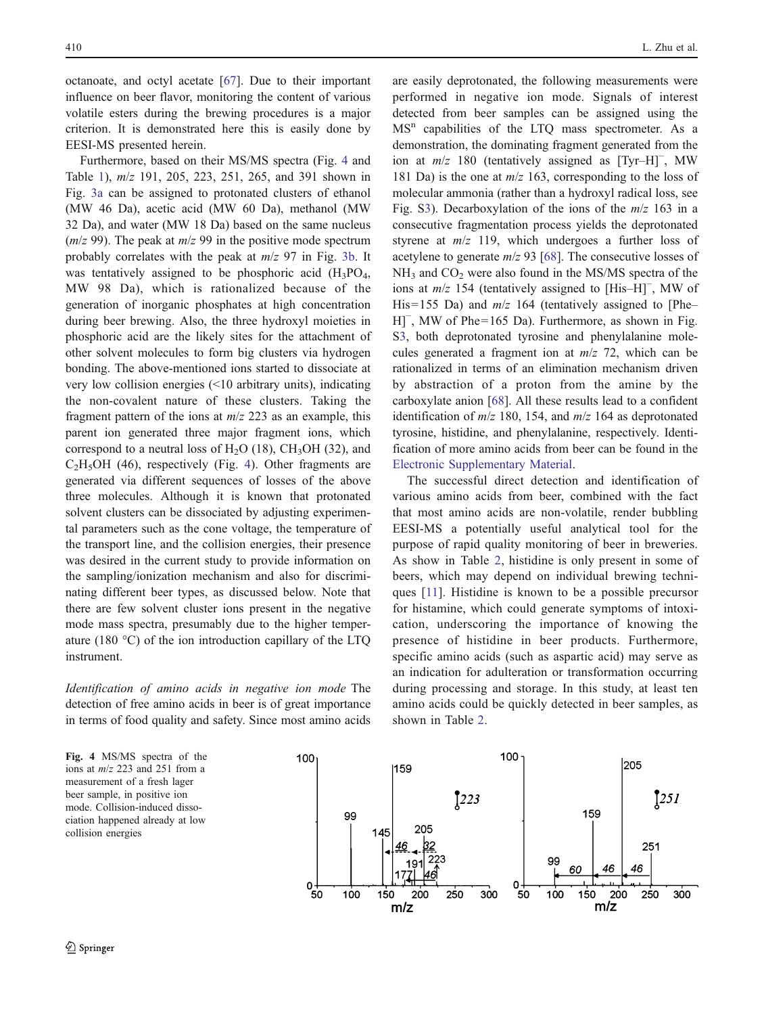<span id="page-6-0"></span>octanoate, and octyl acetate [\[67](#page-9-0)]. Due to their important influence on beer flavor, monitoring the content of various volatile esters during the brewing procedures is a major criterion. It is demonstrated here this is easily done by EESI-MS presented herein.

Furthermore, based on their MS/MS spectra (Fig. 4 and Table [1\)](#page-4-0), m/z 191, 205, 223, 251, 265, and 391 shown in Fig. [3a](#page-5-0) can be assigned to protonated clusters of ethanol (MW 46 Da), acetic acid (MW 60 Da), methanol (MW 32 Da), and water (MW 18 Da) based on the same nucleus  $(m/z 99)$ . The peak at  $m/z 99$  in the positive mode spectrum probably correlates with the peak at  $m/z$  97 in Fig. [3b.](#page-5-0) It was tentatively assigned to be phosphoric acid  $(H_3PO_4,$ MW 98 Da), which is rationalized because of the generation of inorganic phosphates at high concentration during beer brewing. Also, the three hydroxyl moieties in phosphoric acid are the likely sites for the attachment of other solvent molecules to form big clusters via hydrogen bonding. The above-mentioned ions started to dissociate at very low collision energies (<10 arbitrary units), indicating the non-covalent nature of these clusters. Taking the fragment pattern of the ions at  $m/z$  223 as an example, this parent ion generated three major fragment ions, which correspond to a neutral loss of  $H_2O$  (18), CH<sub>3</sub>OH (32), and  $C_2H_5OH$  (46), respectively (Fig. 4). Other fragments are generated via different sequences of losses of the above three molecules. Although it is known that protonated solvent clusters can be dissociated by adjusting experimental parameters such as the cone voltage, the temperature of the transport line, and the collision energies, their presence was desired in the current study to provide information on the sampling/ionization mechanism and also for discriminating different beer types, as discussed below. Note that there are few solvent cluster ions present in the negative mode mass spectra, presumably due to the higher temperature (180 °C) of the ion introduction capillary of the LTQ instrument.

Identification of amino acids in negative ion mode The detection of free amino acids in beer is of great importance in terms of food quality and safety. Since most amino acids are easily deprotonated, the following measurements were performed in negative ion mode. Signals of interest detected from beer samples can be assigned using the  $MS<sup>n</sup>$  capabilities of the LTQ mass spectrometer. As a demonstration, the dominating fragment generated from the ion at m/z 180 (tentatively assigned as [Tyr–H]<sup>−</sup> , MW 181 Da) is the one at  $m/z$  163, corresponding to the loss of molecular ammonia (rather than a hydroxyl radical loss, see Fig. S3). Decarboxylation of the ions of the  $m/z$  163 in a consecutive fragmentation process yields the deprotonated styrene at  $m/z$  119, which undergoes a further loss of acetylene to generate  $m/z$  93 [\[68](#page-9-0)]. The consecutive losses of  $NH<sub>3</sub>$  and  $CO<sub>2</sub>$  were also found in the MS/MS spectra of the ions at m/z 154 (tentatively assigned to [His–H]<sup>−</sup> , MW of His=155 Da) and  $m/z$  164 (tentatively assigned to [Phe– H]<sup>−</sup>, MW of Phe=165 Da). Furthermore, as shown in Fig. S3, both deprotonated tyrosine and phenylalanine molecules generated a fragment ion at  $m/z$  72, which can be rationalized in terms of an elimination mechanism driven by abstraction of a proton from the amine by the carboxylate anion [\[68](#page-9-0)]. All these results lead to a confident identification of  $m/z$  180, 154, and  $m/z$  164 as deprotonated tyrosine, histidine, and phenylalanine, respectively. Identification of more amino acids from beer can be found in the Electronic Supplementary Material.

The successful direct detection and identification of various amino acids from beer, combined with the fact that most amino acids are non-volatile, render bubbling EESI-MS a potentially useful analytical tool for the purpose of rapid quality monitoring of beer in breweries. As show in Table [2,](#page-7-0) histidine is only present in some of beers, which may depend on individual brewing techniques [[11\]](#page-9-0). Histidine is known to be a possible precursor for histamine, which could generate symptoms of intoxication, underscoring the importance of knowing the presence of histidine in beer products. Furthermore, specific amino acids (such as aspartic acid) may serve as an indication for adulteration or transformation occurring during processing and storage. In this study, at least ten amino acids could be quickly detected in beer samples, as shown in Table [2.](#page-7-0)

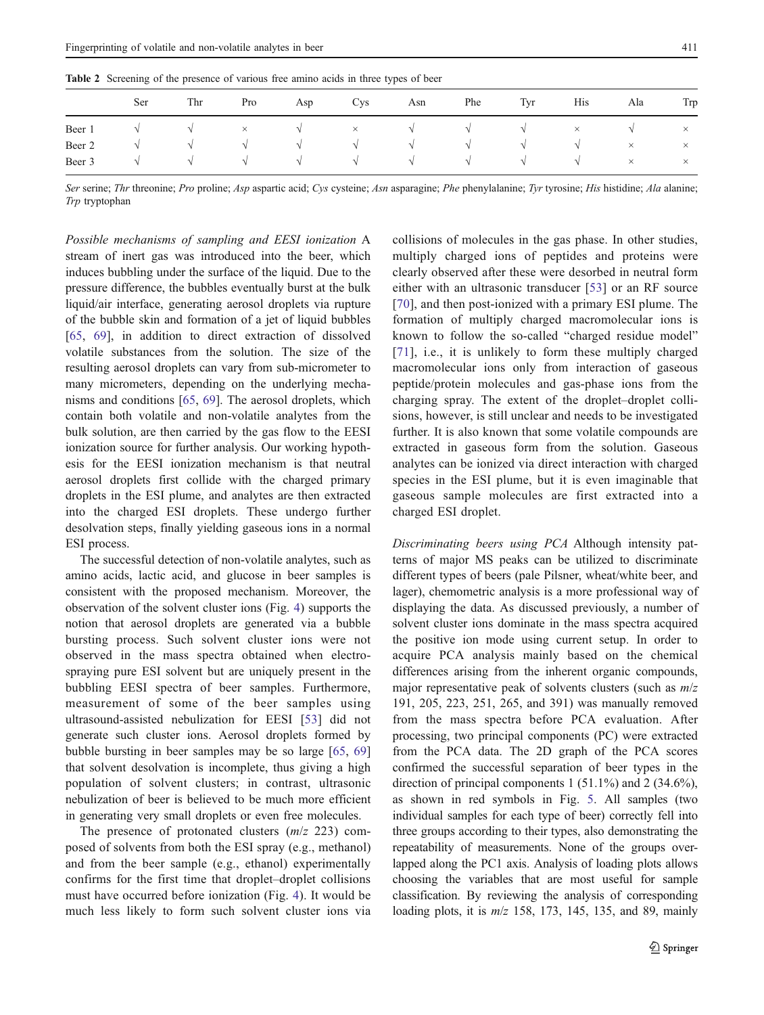|        | Ser        | Thr        | Pro | Asp                                                                                                                                                                                                                                                                                                                                                                                                                                                             | Cys | Asn        | Phe | Tyr        | His                 | Ala          | Trp          |  |  |
|--------|------------|------------|-----|-----------------------------------------------------------------------------------------------------------------------------------------------------------------------------------------------------------------------------------------------------------------------------------------------------------------------------------------------------------------------------------------------------------------------------------------------------------------|-----|------------|-----|------------|---------------------|--------------|--------------|--|--|
| Beer 1 |            |            |     | $\begin{matrix} \mathcal{N} & \mathcal{N} & \mathcal{N} & \mathcal{N} & \mathcal{N} & \mathcal{N} & \mathcal{N} & \mathcal{N} & \mathcal{N} & \mathcal{N} & \mathcal{N} & \mathcal{N} & \mathcal{N} & \mathcal{N} & \mathcal{N} & \mathcal{N} & \mathcal{N} & \mathcal{N} & \mathcal{N} & \mathcal{N} & \mathcal{N} & \mathcal{N} & \mathcal{N} & \mathcal{N} & \mathcal{N} & \mathcal{N} & \mathcal{N} & \mathcal{N} & \mathcal{N} & \mathcal{N} & \mathcal{N$ |     |            |     |            |                     |              |              |  |  |
| Beer 2 | $\sqrt{ }$ |            |     | $\sqrt{ }$ $\sqrt{ }$ $\sqrt{ }$ $\sqrt{ }$ $\sqrt{ }$ $\sqrt{ }$ $\sqrt{ }$ $\sqrt{ }$ $\sqrt{ }$                                                                                                                                                                                                                                                                                                                                                              |     |            |     |            | $\sqrt{2}$ $\times$ |              | $\times$     |  |  |
| Beer 3 |            | $\sqrt{ }$ |     | $\sqrt{2}$                                                                                                                                                                                                                                                                                                                                                                                                                                                      |     | $\sqrt{2}$ |     | $\sqrt{ }$ | $\sqrt{ }$          | $\mathsf{X}$ | $\mathsf{X}$ |  |  |

<span id="page-7-0"></span>Table 2 Screening of the presence of various free amino acids in three types of beer

Ser serine; Thr threonine; Pro proline; Asp aspartic acid; Cys cysteine; Asn asparagine; Phe phenylalanine; Tyr tyrosine; His histidine; Ala alanine; Trp tryptophan

Possible mechanisms of sampling and EESI ionization A stream of inert gas was introduced into the beer, which induces bubbling under the surface of the liquid. Due to the pressure difference, the bubbles eventually burst at the bulk liquid/air interface, generating aerosol droplets via rupture of the bubble skin and formation of a jet of liquid bubbles [\[65](#page-9-0), [69](#page-9-0)], in addition to direct extraction of dissolved volatile substances from the solution. The size of the resulting aerosol droplets can vary from sub-micrometer to many micrometers, depending on the underlying mechanisms and conditions [[65,](#page-9-0) [69](#page-9-0)]. The aerosol droplets, which contain both volatile and non-volatile analytes from the bulk solution, are then carried by the gas flow to the EESI ionization source for further analysis. Our working hypothesis for the EESI ionization mechanism is that neutral aerosol droplets first collide with the charged primary droplets in the ESI plume, and analytes are then extracted into the charged ESI droplets. These undergo further desolvation steps, finally yielding gaseous ions in a normal ESI process.

The successful detection of non-volatile analytes, such as amino acids, lactic acid, and glucose in beer samples is consistent with the proposed mechanism. Moreover, the observation of the solvent cluster ions (Fig. [4](#page-6-0)) supports the notion that aerosol droplets are generated via a bubble bursting process. Such solvent cluster ions were not observed in the mass spectra obtained when electrospraying pure ESI solvent but are uniquely present in the bubbling EESI spectra of beer samples. Furthermore, measurement of some of the beer samples using ultrasound-assisted nebulization for EESI [[53\]](#page-9-0) did not generate such cluster ions. Aerosol droplets formed by bubble bursting in beer samples may be so large [[65,](#page-9-0) [69\]](#page-9-0) that solvent desolvation is incomplete, thus giving a high population of solvent clusters; in contrast, ultrasonic nebulization of beer is believed to be much more efficient in generating very small droplets or even free molecules.

The presence of protonated clusters  $(m/z 223)$  composed of solvents from both the ESI spray (e.g., methanol) and from the beer sample (e.g., ethanol) experimentally confirms for the first time that droplet–droplet collisions must have occurred before ionization (Fig. [4](#page-6-0)). It would be much less likely to form such solvent cluster ions via collisions of molecules in the gas phase. In other studies, multiply charged ions of peptides and proteins were clearly observed after these were desorbed in neutral form either with an ultrasonic transducer [[53\]](#page-9-0) or an RF source [\[70\]](#page-9-0), and then post-ionized with a primary ESI plume. The formation of multiply charged macromolecular ions is known to follow the so-called "charged residue model" [\[71\]](#page-9-0), i.e., it is unlikely to form these multiply charged macromolecular ions only from interaction of gaseous peptide/protein molecules and gas-phase ions from the charging spray. The extent of the droplet–droplet collisions, however, is still unclear and needs to be investigated further. It is also known that some volatile compounds are extracted in gaseous form from the solution. Gaseous analytes can be ionized via direct interaction with charged species in the ESI plume, but it is even imaginable that gaseous sample molecules are first extracted into a charged ESI droplet.

Discriminating beers using PCA Although intensity patterns of major MS peaks can be utilized to discriminate different types of beers (pale Pilsner, wheat/white beer, and lager), chemometric analysis is a more professional way of displaying the data. As discussed previously, a number of solvent cluster ions dominate in the mass spectra acquired the positive ion mode using current setup. In order to acquire PCA analysis mainly based on the chemical differences arising from the inherent organic compounds, major representative peak of solvents clusters (such as  $m/z$ ) 191, 205, 223, 251, 265, and 391) was manually removed from the mass spectra before PCA evaluation. After processing, two principal components (PC) were extracted from the PCA data. The 2D graph of the PCA scores confirmed the successful separation of beer types in the direction of principal components 1 (51.1%) and 2 (34.6%), as shown in red symbols in Fig. [5](#page-8-0). All samples (two individual samples for each type of beer) correctly fell into three groups according to their types, also demonstrating the repeatability of measurements. None of the groups overlapped along the PC1 axis. Analysis of loading plots allows choosing the variables that are most useful for sample classification. By reviewing the analysis of corresponding loading plots, it is  $m/z$  158, 173, 145, 135, and 89, mainly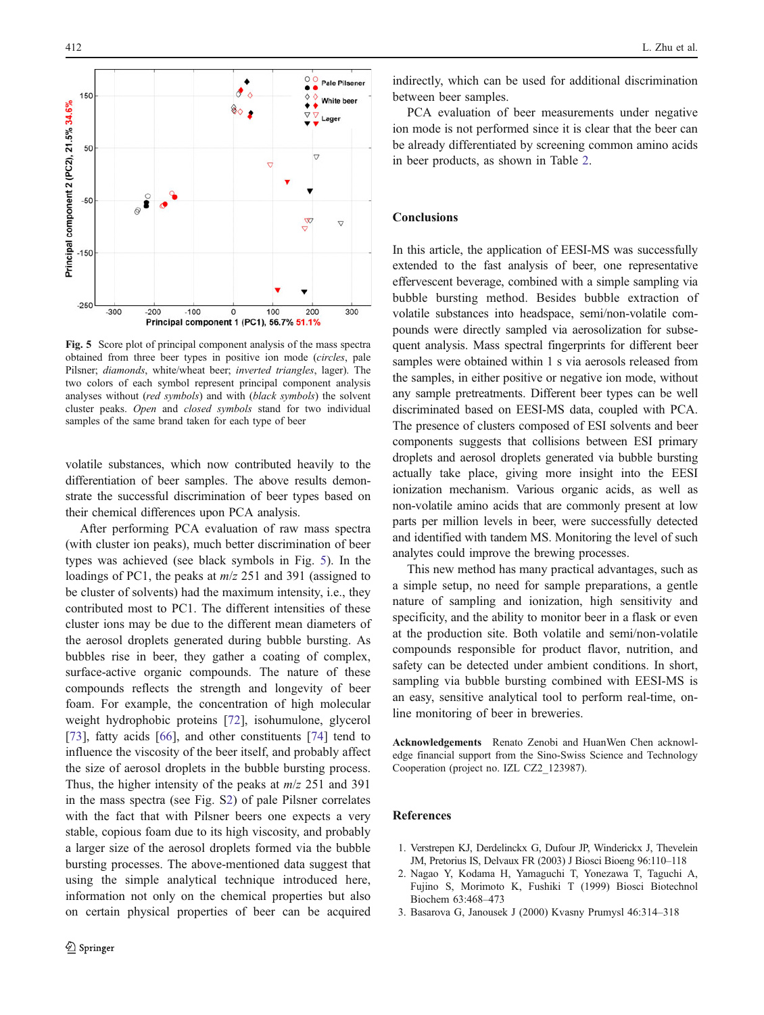<span id="page-8-0"></span>

Fig. 5 Score plot of principal component analysis of the mass spectra obtained from three beer types in positive ion mode (circles, pale Pilsner; diamonds, white/wheat beer; inverted triangles, lager). The two colors of each symbol represent principal component analysis analyses without (red symbols) and with (black symbols) the solvent cluster peaks. Open and closed symbols stand for two individual samples of the same brand taken for each type of beer

volatile substances, which now contributed heavily to the differentiation of beer samples. The above results demonstrate the successful discrimination of beer types based on their chemical differences upon PCA analysis.

After performing PCA evaluation of raw mass spectra (with cluster ion peaks), much better discrimination of beer types was achieved (see black symbols in Fig. 5). In the loadings of PC1, the peaks at  $m/z$  251 and 391 (assigned to be cluster of solvents) had the maximum intensity, i.e., they contributed most to PC1. The different intensities of these cluster ions may be due to the different mean diameters of the aerosol droplets generated during bubble bursting. As bubbles rise in beer, they gather a coating of complex, surface-active organic compounds. The nature of these compounds reflects the strength and longevity of beer foam. For example, the concentration of high molecular weight hydrophobic proteins [[72\]](#page-9-0), isohumulone, glycerol [\[73](#page-9-0)], fatty acids [\[66](#page-9-0)], and other constituents [[74\]](#page-9-0) tend to influence the viscosity of the beer itself, and probably affect the size of aerosol droplets in the bubble bursting process. Thus, the higher intensity of the peaks at  $m/z$  251 and 391 in the mass spectra (see Fig. S2) of pale Pilsner correlates with the fact that with Pilsner beers one expects a very stable, copious foam due to its high viscosity, and probably a larger size of the aerosol droplets formed via the bubble bursting processes. The above-mentioned data suggest that using the simple analytical technique introduced here, information not only on the chemical properties but also on certain physical properties of beer can be acquired

indirectly, which can be used for additional discrimination between beer samples.

PCA evaluation of beer measurements under negative ion mode is not performed since it is clear that the beer can be already differentiated by screening common amino acids in beer products, as shown in Table [2](#page-7-0).

#### Conclusions

In this article, the application of EESI-MS was successfully extended to the fast analysis of beer, one representative effervescent beverage, combined with a simple sampling via bubble bursting method. Besides bubble extraction of volatile substances into headspace, semi/non-volatile compounds were directly sampled via aerosolization for subsequent analysis. Mass spectral fingerprints for different beer samples were obtained within 1 s via aerosols released from the samples, in either positive or negative ion mode, without any sample pretreatments. Different beer types can be well discriminated based on EESI-MS data, coupled with PCA. The presence of clusters composed of ESI solvents and beer components suggests that collisions between ESI primary droplets and aerosol droplets generated via bubble bursting actually take place, giving more insight into the EESI ionization mechanism. Various organic acids, as well as non-volatile amino acids that are commonly present at low parts per million levels in beer, were successfully detected and identified with tandem MS. Monitoring the level of such analytes could improve the brewing processes.

This new method has many practical advantages, such as a simple setup, no need for sample preparations, a gentle nature of sampling and ionization, high sensitivity and specificity, and the ability to monitor beer in a flask or even at the production site. Both volatile and semi/non-volatile compounds responsible for product flavor, nutrition, and safety can be detected under ambient conditions. In short, sampling via bubble bursting combined with EESI-MS is an easy, sensitive analytical tool to perform real-time, online monitoring of beer in breweries.

Acknowledgements Renato Zenobi and HuanWen Chen acknowledge financial support from the Sino-Swiss Science and Technology Cooperation (project no. IZL CZ2\_123987).

#### References

- 1. Verstrepen KJ, Derdelinckx G, Dufour JP, Winderickx J, Thevelein JM, Pretorius IS, Delvaux FR (2003) J Biosci Bioeng 96:110–118
- 2. Nagao Y, Kodama H, Yamaguchi T, Yonezawa T, Taguchi A, Fujino S, Morimoto K, Fushiki T (1999) Biosci Biotechnol Biochem 63:468–473
- 3. Basarova G, Janousek J (2000) Kvasny Prumysl 46:314–318